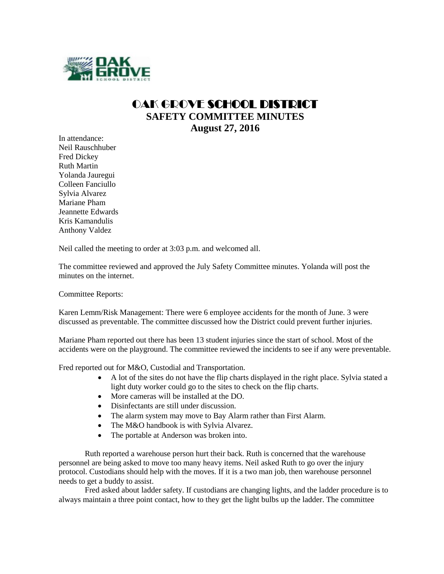

## OAK GROVE SCHOOL DISTRICT **SAFETY COMMITTEE MINUTES August 27, 2016**

In attendance: Neil Rauschhuber Fred Dickey Ruth Martin Yolanda Jauregui Colleen Fanciullo Sylvia Alvarez Mariane Pham Jeannette Edwards Kris Kamandulis Anthony Valdez

Neil called the meeting to order at 3:03 p.m. and welcomed all.

The committee reviewed and approved the July Safety Committee minutes. Yolanda will post the minutes on the internet.

Committee Reports:

Karen Lemm/Risk Management: There were 6 employee accidents for the month of June. 3 were discussed as preventable. The committee discussed how the District could prevent further injuries.

Mariane Pham reported out there has been 13 student injuries since the start of school. Most of the accidents were on the playground. The committee reviewed the incidents to see if any were preventable.

Fred reported out for M&O, Custodial and Transportation.

- A lot of the sites do not have the flip charts displayed in the right place. Sylvia stated a light duty worker could go to the sites to check on the flip charts.
- More cameras will be installed at the DO.
- Disinfectants are still under discussion.
- The alarm system may move to Bay Alarm rather than First Alarm.
- The M&O handbook is with Sylvia Alvarez.
- The portable at Anderson was broken into.

Ruth reported a warehouse person hurt their back. Ruth is concerned that the warehouse personnel are being asked to move too many heavy items. Neil asked Ruth to go over the injury protocol. Custodians should help with the moves. If it is a two man job, then warehouse personnel needs to get a buddy to assist.

Fred asked about ladder safety. If custodians are changing lights, and the ladder procedure is to always maintain a three point contact, how to they get the light bulbs up the ladder. The committee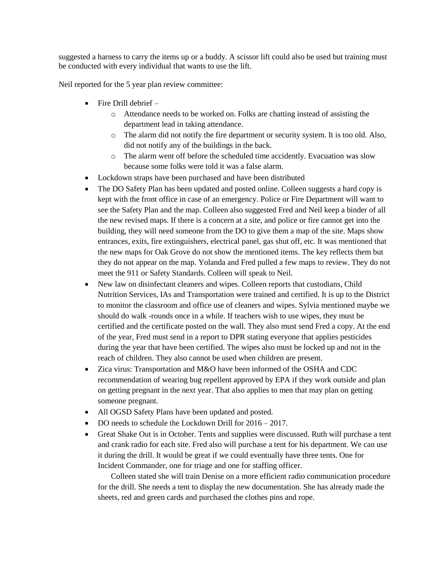suggested a harness to carry the items up or a buddy. A scissor lift could also be used but training must be conducted with every individual that wants to use the lift.

Neil reported for the 5 year plan review committee:

- $\bullet$  Fire Drill debrief
	- o Attendance needs to be worked on. Folks are chatting instead of assisting the department lead in taking attendance.
	- o The alarm did not notify the fire department or security system. It is too old. Also, did not notify any of the buildings in the back.
	- o The alarm went off before the scheduled time accidently. Evacuation was slow because some folks were told it was a false alarm.
- Lockdown straps have been purchased and have been distributed
- The DO Safety Plan has been updated and posted online. Colleen suggests a hard copy is kept with the front office in case of an emergency. Police or Fire Department will want to see the Safety Plan and the map. Colleen also suggested Fred and Neil keep a binder of all the new revised maps. If there is a concern at a site, and police or fire cannot get into the building, they will need someone from the DO to give them a map of the site. Maps show entrances, exits, fire extinguishers, electrical panel, gas shut off, etc. It was mentioned that the new maps for Oak Grove do not show the mentioned items. The key reflects them but they do not appear on the map. Yolanda and Fred pulled a few maps to review. They do not meet the 911 or Safety Standards. Colleen will speak to Neil.
- New law on disinfectant cleaners and wipes. Colleen reports that custodians, Child Nutrition Services, IAs and Transportation were trained and certified. It is up to the District to monitor the classroom and office use of cleaners and wipes. Sylvia mentioned maybe we should do walk -rounds once in a while. If teachers wish to use wipes, they must be certified and the certificate posted on the wall. They also must send Fred a copy. At the end of the year, Fred must send in a report to DPR stating everyone that applies pesticides during the year that have been certified. The wipes also must be locked up and not in the reach of children. They also cannot be used when children are present.
- Zica virus: Transportation and M&O have been informed of the OSHA and CDC recommendation of wearing bug repellent approved by EPA if they work outside and plan on getting pregnant in the next year. That also applies to men that may plan on getting someone pregnant.
- All OGSD Safety Plans have been updated and posted.
- DO needs to schedule the Lockdown Drill for  $2016 2017$ .
- Great Shake Out is in October. Tents and supplies were discussed. Ruth will purchase a tent and crank radio for each site. Fred also will purchase a tent for his department. We can use it during the drill. It would be great if we could eventually have three tents. One for Incident Commander, one for triage and one for staffing officer.

Colleen stated she will train Denise on a more efficient radio communication procedure for the drill. She needs a tent to display the new documentation. She has already made the sheets, red and green cards and purchased the clothes pins and rope.